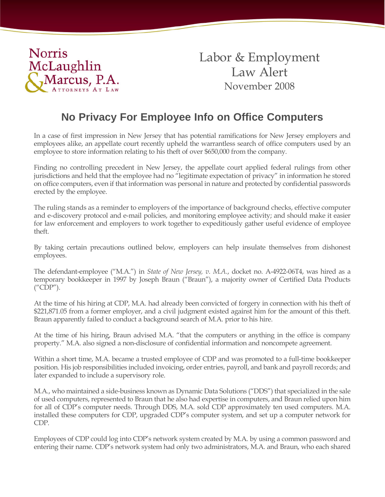

Labor & Employment Law Alert November 2008

# **No Privacy For Employee Info on Office Computers**

In a case of first impression in New Jersey that has potential ramifications for New Jersey employers and employees alike, an appellate court recently upheld the warrantless search of office computers used by an employee to store information relating to his theft of over \$650,000 from the company.

Finding no controlling precedent in New Jersey, the appellate court applied federal rulings from other jurisdictions and held that the employee had no "legitimate expectation of privacy" in information he stored on office computers, even if that information was personal in nature and protected by confidential passwords erected by the employee.

The ruling stands as a reminder to employers of the importance of background checks, effective computer and e-discovery protocol and e-mail policies, and monitoring employee activity; and should make it easier for law enforcement and employers to work together to expeditiously gather useful evidence of employee theft.

By taking certain precautions outlined below, employers can help insulate themselves from dishonest employees.

The defendant-employee ("M.A.") in *State of New Jersey, v. M.A.*, docket no. A-4922-06T4, was hired as a temporary bookkeeper in 1997 by Joseph Braun ("Braun"), a majority owner of Certified Data Products ("CDP").

At the time of his hiring at CDP, M.A. had already been convicted of forgery in connection with his theft of \$221,871.05 from a former employer, and a civil judgment existed against him for the amount of this theft. Braun apparently failed to conduct a background search of M.A. prior to his hire.

At the time of his hiring, Braun advised M.A. "that the computers or anything in the office is company property." M.A. also signed a non-disclosure of confidential information and noncompete agreement.

Within a short time, M.A. became a trusted employee of CDP and was promoted to a full-time bookkeeper position. His job responsibilities included invoicing, order entries, payroll, and bank and payroll records; and later expanded to include a supervisory role.

M.A., who maintained a side-business known as Dynamic Data Solutions ("DDS") that specialized in the sale of used computers, represented to Braun that he also had expertise in computers, and Braun relied upon him for all of CDP's computer needs. Through DDS, M.A. sold CDP approximately ten used computers. M.A. installed these computers for CDP, upgraded CDP's computer system, and set up a computer network for CDP.

Employees of CDP could log into CDP's network system created by M.A. by using a common password and entering their name. CDP's network system had only two administrators, M.A. and Braun, who each shared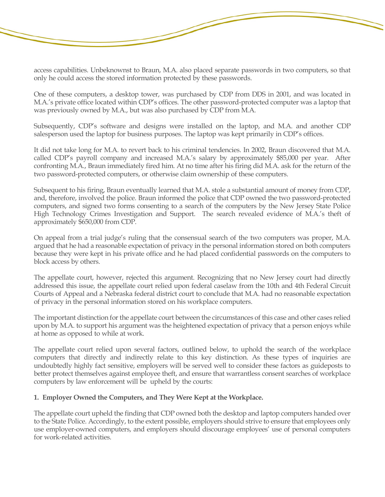access capabilities. Unbeknownst to Braun, M.A. also placed separate passwords in two computers, so that only he could access the stored information protected by these passwords.

One of these computers, a desktop tower, was purchased by CDP from DDS in 2001, and was located in M.A.'s private office located within CDP's offices. The other password-protected computer was a laptop that was previously owned by M.A., but was also purchased by CDP from M.A.

Subsequently, CDP's software and designs were installed on the laptop, and M.A. and another CDP salesperson used the laptop for business purposes. The laptop was kept primarily in CDP's offices.

It did not take long for M.A. to revert back to his criminal tendencies. In 2002, Braun discovered that M.A. called CDP's payroll company and increased M.A.'s salary by approximately \$85,000 per year. After confronting M.A., Braun immediately fired him. At no time after his firing did M.A. ask for the return of the two password-protected computers, or otherwise claim ownership of these computers.

Subsequent to his firing, Braun eventually learned that M.A. stole a substantial amount of money from CDP, and, therefore, involved the police. Braun informed the police that CDP owned the two password-protected computers, and signed two forms consenting to a search of the computers by the New Jersey State Police High Technology Crimes Investigation and Support. The search revealed evidence of M.A.'s theft of approximately \$650,000 from CDP.

On appeal from a trial judge's ruling that the consensual search of the two computers was proper, M.A. argued that he had a reasonable expectation of privacy in the personal information stored on both computers because they were kept in his private office and he had placed confidential passwords on the computers to block access by others.

The appellate court, however, rejected this argument. Recognizing that no New Jersey court had directly addressed this issue, the appellate court relied upon federal caselaw from the 10th and 4th Federal Circuit Courts of Appeal and a Nebraska federal district court to conclude that M.A. had no reasonable expectation of privacy in the personal information stored on his workplace computers.

The important distinction for the appellate court between the circumstances of this case and other cases relied upon by M.A. to support his argument was the heightened expectation of privacy that a person enjoys while at home as opposed to while at work.

The appellate court relied upon several factors, outlined below, to uphold the search of the workplace computers that directly and indirectly relate to this key distinction. As these types of inquiries are undoubtedly highly fact sensitive, employers will be served well to consider these factors as guideposts to better protect themselves against employee theft, and ensure that warrantless consent searches of workplace computers by law enforcement will be upheld by the courts:

#### **1. Employer Owned the Computers, and They Were Kept at the Workplace.**

The appellate court upheld the finding that CDP owned both the desktop and laptop computers handed over to the State Police. Accordingly, to the extent possible, employers should strive to ensure that employees only use employer-owned computers, and employers should discourage employees' use of personal computers for work-related activities.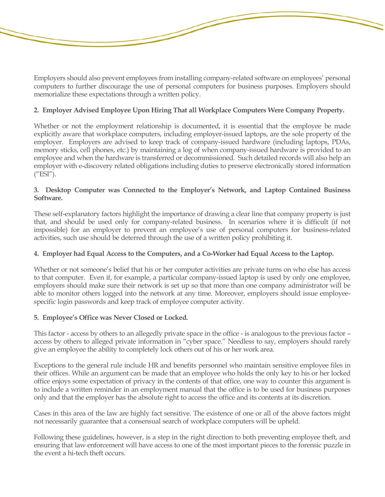Employers should also prevent employees from installing company-related software on employees' personal computers to further discourage the use of personal computers for business purposes. Employers should memorialize these expectations through a written policy.

# **2. Employer Advised Employee Upon Hiring That all Workplace Computers Were Company Property.**

Whether or not the employment relationship is documented, it is essential that the employee be made explicitly aware that workplace computers, including employer-issued laptops, are the sole property of the employer. Employers are advised to keep track of company-issued hardware (including laptops, PDAs, memory sticks, cell phones, etc.) by maintaining a log of when company-issued hardware is provided to an employee and when the hardware is transferred or decommissioned. Such detailed records will also help an employer with e-discovery related obligations including duties to preserve electronically stored information  $($ "ESI").

## **3. Desktop Computer was Connected to the Employer's Network, and Laptop Contained Business Software.**

These self-explanatory factors highlight the importance of drawing a clear line that company property is just that, and should be used only for company-related business. In scenarios where it is difficult (if not impossible) for an employer to prevent an employee's use of personal computers for business-related activities, such use should be deterred through the use of a written policy prohibiting it.

### **4. Employer had Equal Access to the Computers, and a Co-Worker had Equal Access to the Laptop.**

Whether or not someone's belief that his or her computer activities are private turns on who else has access to that computer. Even if, for example, a particular company-issued laptop is used by only one employee, employers should make sure their network is set up so that more than one company administrator will be able to monitor others logged into the network at any time. Moreover, employers should issue employeespecific login passwords and keep track of employee computer activity.

### **5. Employee's Office was Never Closed or Locked.**

This factor - access by others to an allegedly private space in the office - is analogous to the previous factor – access by others to alleged private information in "cyber space." Needless to say, employers should rarely give an employee the ability to completely lock others out of his or her work area.

Exceptions to the general rule include HR and benefits personnel who maintain sensitive employee files in their offices. While an argument can be made that an employee who holds the only key to his or her locked office enjoys some expectation of privacy in the contents of that office, one way to counter this argument is to include a written reminder in an employment manual that the office is to be used for business purposes only and that the employer has the absolute right to access the office and its contents at its discretion.

Cases in this area of the law are highly fact sensitive. The existence of one or all of the above factors might not necessarily guarantee that a consensual search of workplace computers will be upheld.

Following these guidelines, however, is a step in the right direction to both preventing employee theft, and ensuring that law enforcement will have access to one of the most important pieces to the forensic puzzle in the event a hi-tech theft occurs.